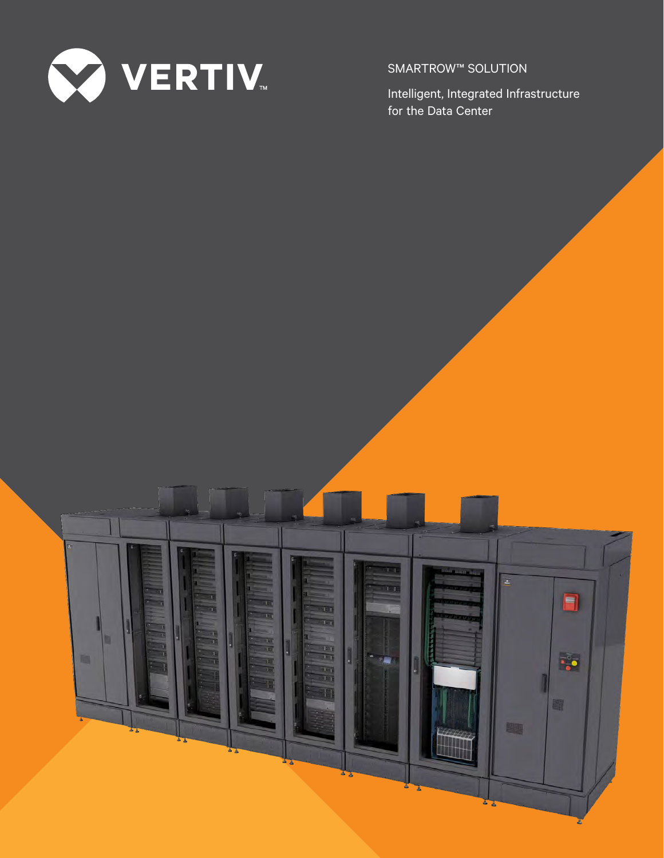

SMARTROW™ SOLUTION

Intelligent, Integrated Infrastructure for the Data Center

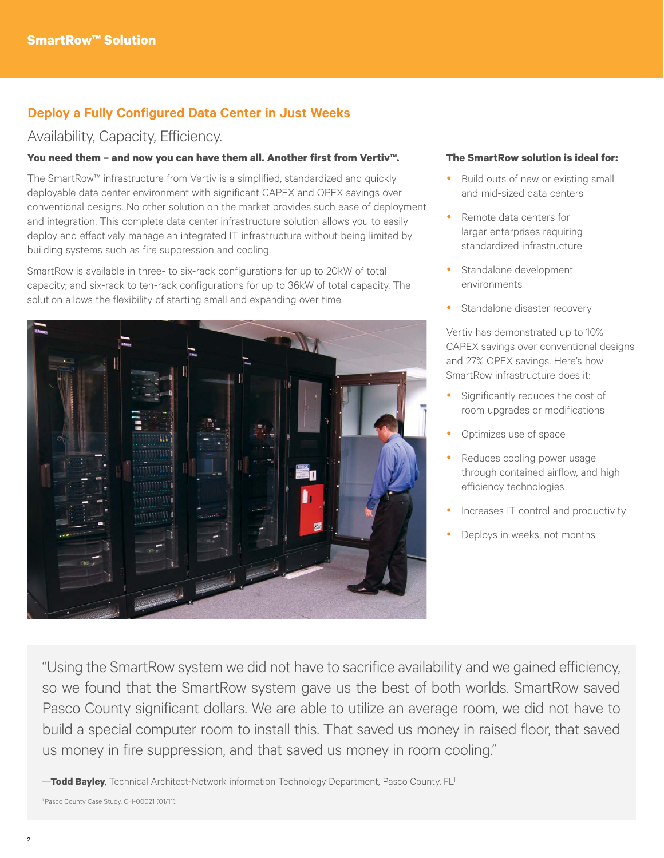# **Deploy a Fully Configured Data Center in Just Weeks**

# Availability, Capacity, Efficiency.

## **You need them – and now you can have them all. Another first from Vertiv™.**

The SmartRow™ infrastructure from Vertiv is a simplified, standardized and quickly deployable data center environment with significant CAPEX and OPEX savings over conventional designs. No other solution on the market provides such ease of deployment and integration. This complete data center infrastructure solution allows you to easily deploy and effectively manage an integrated IT infrastructure without being limited by building systems such as fire suppression and cooling.

SmartRow is available in three- to six-rack configurations for up to 20kW of total capacity; and six-rack to ten-rack configurations for up to 36kW of total capacity. The solution allows the flexibility of starting small and expanding over time.



### **The SmartRow solution is ideal for:**

- Build outs of new or existing small and mid-sized data centers
- Remote data centers for larger enterprises requiring standardized infrastructure
- Standalone development environments
- Standalone disaster recovery

Vertiv has demonstrated up to 10% CAPEX savings over conventional designs and 27% OPEX savings. Here's how SmartRow infrastructure does it:

- Significantly reduces the cost of room upgrades or modifications
- Optimizes use of space
- Reduces cooling power usage through contained airflow, and high efficiency technologies
- Increases IT control and productivity
- Deploys in weeks, not months

"Using the SmartRow system we did not have to sacrifice availability and we gained efficiency, so we found that the SmartRow system gave us the best of both worlds. SmartRow saved Pasco County significant dollars. We are able to utilize an average room, we did not have to build a special computer room to install this. That saved us money in raised floor, that saved us money in fire suppression, and that saved us money in room cooling."

—**Todd Bayley**, Technical Architect-Network information Technology Department, Pasco County, FL1

<sup>1</sup> Pasco County Case Study. CH-00021 (01/11).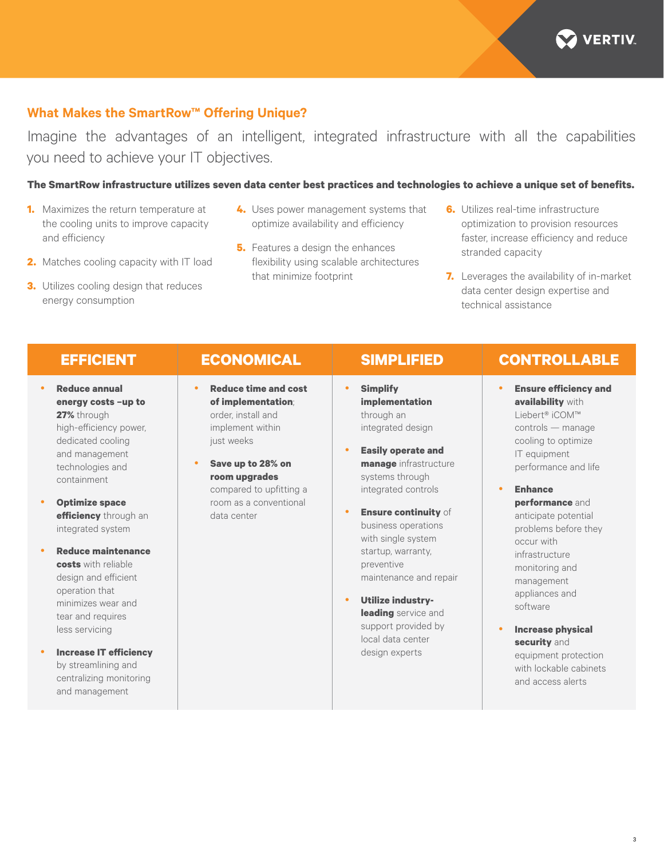

# **What Makes the SmartRow™ Offering Unique?**

Imagine the advantages of an intelligent, integrated infrastructure with all the capabilities you need to achieve your IT objectives.

## **The SmartRow infrastructure utilizes seven data center best practices and technologies to achieve a unique set of benefits.**

- **1.** Maximizes the return temperature at the cooling units to improve capacity and efficiency
- **2.** Matches cooling capacity with IT load
- **3.** Utilizes cooling design that reduces energy consumption
- **4.** Uses power management systems that optimize availability and efficiency
- **5.** Features a design the enhances flexibility using scalable architectures that minimize footprint
- **6.** Utilizes real-time infrastructure optimization to provision resources faster, increase efficiency and reduce stranded capacity
- **7.** Leverages the availability of in-market data center design expertise and technical assistance

- **Reduce annual energy costs –up to 27%** through high-efficiency power, dedicated cooling and management technologies and containment
- **Optimize space efficiency** through an integrated system
- **Reduce maintenance costs** with reliable design and efficient operation that minimizes wear and tear and requires less servicing
- **Increase IT efficiency** by streamlining and centralizing monitoring and management

- **Reduce time and cost of implementation**; order, install and implement within just weeks
- Save up to 28% on **room upgrades**  compared to upfitting a room as a conventional data center

- **•** Simplify **implementation**  through an integrated design
- **Easily operate and manage** infrastructure systems through integrated controls
- **Ensure continuity** of business operations with single system startup, warranty, preventive maintenance and repair
- **•** Utilize industry**leading** service and support provided by local data center design experts

# **EFFICIENT ECONOMICAL SIMPLIFIED CONTROLLABLE**

- **Ensure efficiency and availability** with Liebert® iCOM™ controls — manage cooling to optimize IT equipment performance and life
	- yy **Enhance performance** and anticipate potential problems before they occur with infrastructure monitoring and management appliances and software
- **Increase physical security** and equipment protection with lockable cabinets and access alerts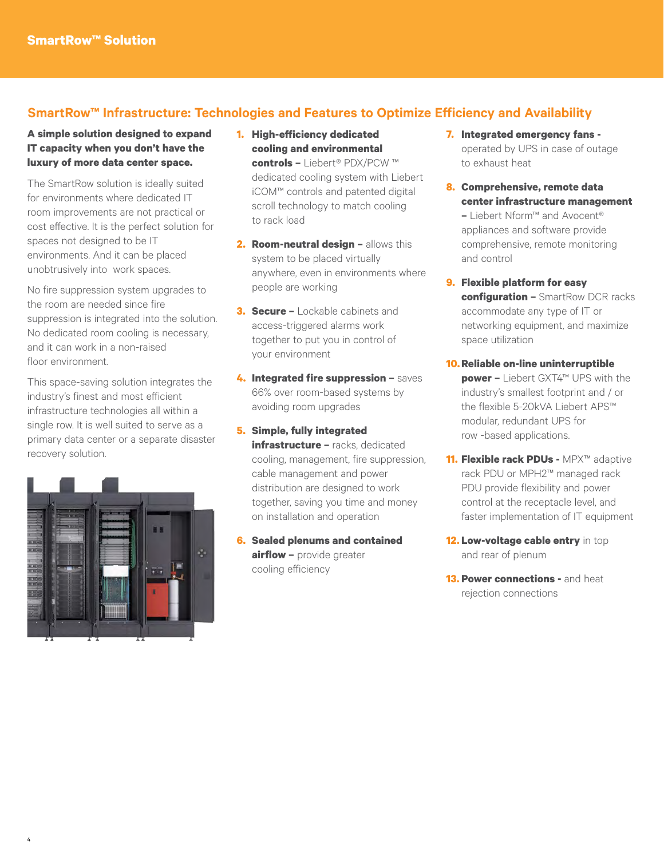# **SmartRow™ Infrastructure: Technologies and Features to Optimize Efficiency and Availability**

# **A simple solution designed to expand IT capacity when you don't have the luxury of more data center space.**

The SmartRow solution is ideally suited for environments where dedicated IT room improvements are not practical or cost effective. It is the perfect solution for spaces not designed to be IT environments. And it can be placed unobtrusively into work spaces.

No fire suppression system upgrades to the room are needed since fire suppression is integrated into the solution. No dedicated room cooling is necessary, and it can work in a non-raised floor environment.

This space-saving solution integrates the industry's finest and most efficient infrastructure technologies all within a single row. It is well suited to serve as a primary data center or a separate disaster recovery solution.



- **1. High-efficiency dedicated cooling and environmental controls –** Liebert® PDX/PCW ™ dedicated cooling system with Liebert iCOM™ controls and patented digital scroll technology to match cooling to rack load
- **2. Room-neutral design –** allows this system to be placed virtually anywhere, even in environments where people are working
- **3. Secure –** Lockable cabinets and access-triggered alarms work together to put you in control of your environment
- **4. Integrated fire suppression –** saves 66% over room-based systems by avoiding room upgrades
- **5. Simple, fully integrated infrastructure –** racks, dedicated cooling, management, fire suppression, cable management and power distribution are designed to work together, saving you time and money on installation and operation
- **6. Sealed plenums and contained airflow –** provide greater cooling efficiency
- **7. Integrated emergency fans**  operated by UPS in case of outage to exhaust heat
- **8. Comprehensive, remote data center infrastructure management –** Liebert Nform™ and Avocent®

appliances and software provide comprehensive, remote monitoring and control

- **9. Flexible platform for easy configuration –** SmartRow DCR racks accommodate any type of IT or networking equipment, and maximize space utilization
- **10.Reliable on-line uninterruptible power –** Liebert GXT4™ UPS with the industry's smallest footprint and / or the flexible 5-20kVA Liebert APS™ modular, redundant UPS for row -based applications.
- **11. Flexible rack PDUs -** MPX™ adaptive rack PDU or MPH2™ managed rack PDU provide flexibility and power control at the receptacle level, and faster implementation of IT equipment
- **12. Low-voltage cable entry** in top and rear of plenum
- **13. Power connections and heat** rejection connections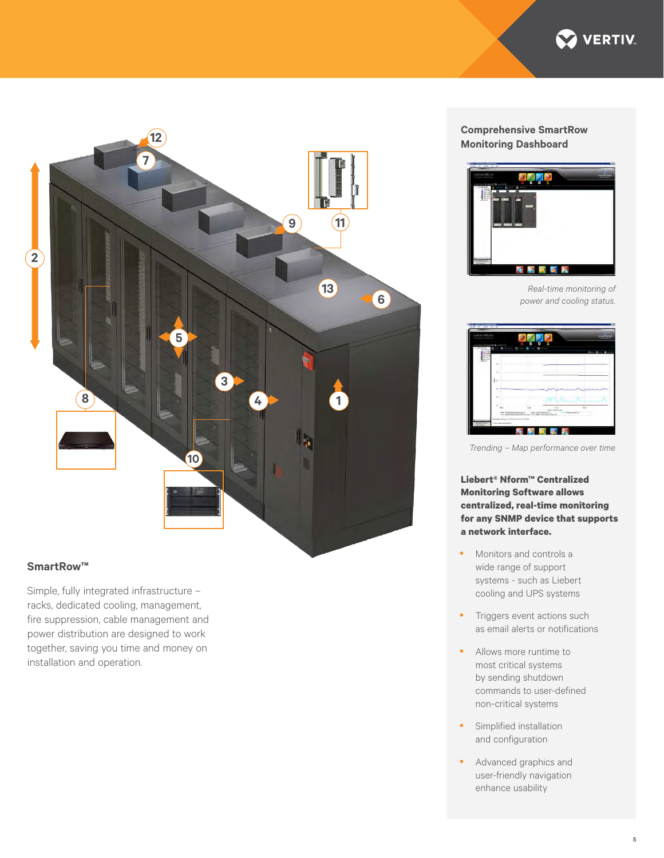



# **SmartRow™**

Simple, fully integrated infrastructure – racks, dedicated cooling, management, fire suppression, cable management and power distribution are designed to work together, saving you time and money on installation and operation.

## **Comprehensive SmartRow Monitoring Dashboard**



*Real-time monitoring of power and cooling status.*



*Trending – Map performance over time*

**Liebert® Nform™ Centralized Monitoring Software allows centralized, real-time monitoring for any SNMP device that supports a network interface.**

- Monitors and controls a wide range of support systems - such as Liebert cooling and UPS systems
- Triggers event actions such as email alerts or notifications
- Allows more runtime to most critical systems by sending shutdown commands to user-defined non-critical systems
- Simplified installation and configuration
- Advanced graphics and user-friendly navigation enhance usability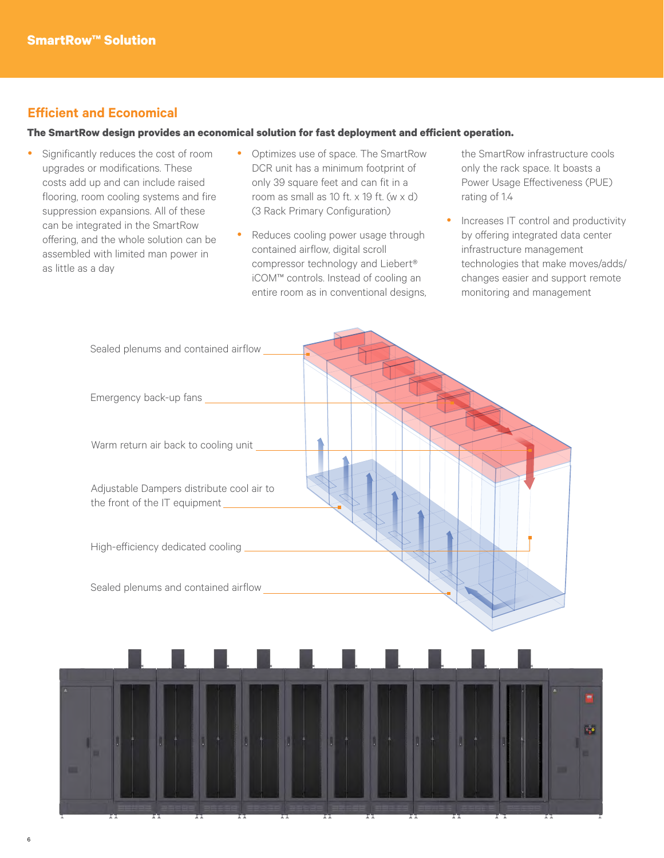# **Efficient and Economical**

6

## **The SmartRow design provides an economical solution for fast deployment and efficient operation.**

- Significantly reduces the cost of room upgrades or modifications. These costs add up and can include raised flooring, room cooling systems and fire suppression expansions. All of these can be integrated in the SmartRow offering, and the whole solution can be assembled with limited man power in as little as a day
- Optimizes use of space. The SmartRow DCR unit has a minimum footprint of only 39 square feet and can fit in a room as small as 10 ft.  $\times$  19 ft. (w  $\times$  d) (3 Rack Primary Configuration)
- Reduces cooling power usage through contained airflow, digital scroll compressor technology and Liebert® iCOM™ controls. Instead of cooling an entire room as in conventional designs,

the SmartRow infrastructure cools only the rack space. It boasts a Power Usage Effectiveness (PUE) rating of 1.4

Increases IT control and productivity by offering integrated data center infrastructure management technologies that make moves/adds/ changes easier and support remote monitoring and management

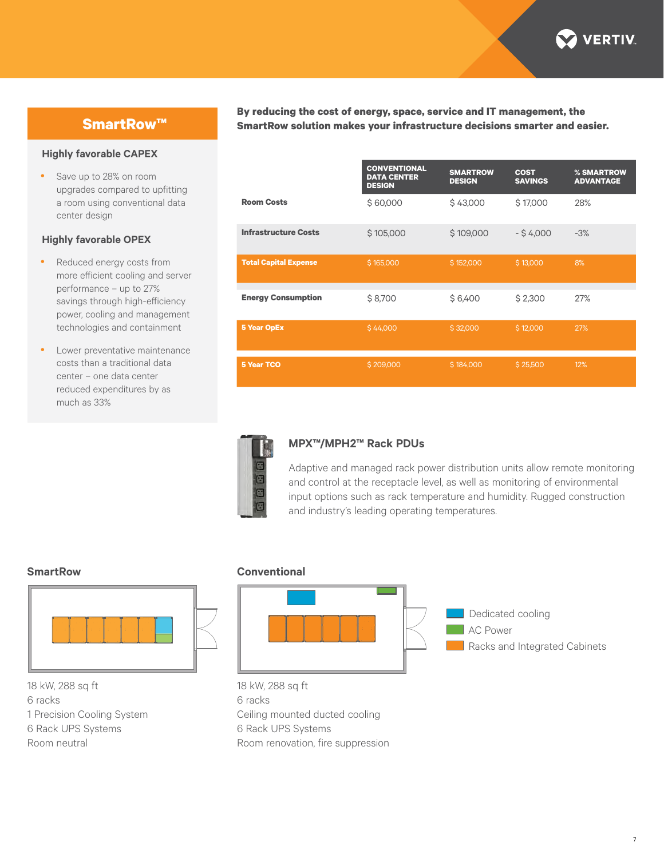

# **SmartRow™**

### **Highly favorable CAPEX**

• Save up to 28% on room upgrades compared to upfitting a room using conventional data center design

## **Highly favorable OPEX**

- Reduced energy costs from more efficient cooling and server performance – up to 27% savings through high-efficiency power, cooling and management technologies and containment
- Lower preventative maintenance costs than a traditional data center – one data center reduced expenditures by as much as 33%

**By reducing the cost of energy, space, service and IT management, the SmartRow solution makes your infrastructure decisions smarter and easier.**

|                              | <b>CONVENTIONAL</b><br><b>DATA CENTER</b><br><b>DESIGN</b> | <b>SMARTROW</b><br><b>DESIGN</b> | <b>COST</b><br><b>SAVINGS</b> | % SMARTROW<br><b>ADVANTAGE</b> |
|------------------------------|------------------------------------------------------------|----------------------------------|-------------------------------|--------------------------------|
| <b>Room Costs</b>            | \$60,000                                                   | \$43,000                         | \$17,000                      | 28%                            |
| <b>Infrastructure Costs</b>  | \$105,000                                                  | \$109,000                        | $-$ \$4,000                   | $-3%$                          |
| <b>Total Capital Expense</b> | \$165,000                                                  | \$152,000                        | \$13,000                      | 8%                             |
| <b>Energy Consumption</b>    | \$8,700                                                    | \$6,400                          | \$2,300                       | 27%                            |
| <b>5 Year OpEx</b>           | \$44,000                                                   | \$32,000                         | \$12,000                      | 27%                            |
| <b>5 Year TCO</b>            | \$209,000                                                  | \$184,000                        | \$25,500                      | 12%                            |



## **MPX™/MPH2™ Rack PDUs**

Adaptive and managed rack power distribution units allow remote monitoring and control at the receptacle level, as well as monitoring of environmental input options such as rack temperature and humidity. Rugged construction and industry's leading operating temperatures.



18 kW, 288 sq ft 6 racks

- 1 Precision Cooling System
- 6 Rack UPS Systems

Room neutral

### **SmartRow Conventional**



18 kW, 288 sq ft 6 racks Ceiling mounted ducted cooling 6 Rack UPS Systems Room renovation, fire suppression